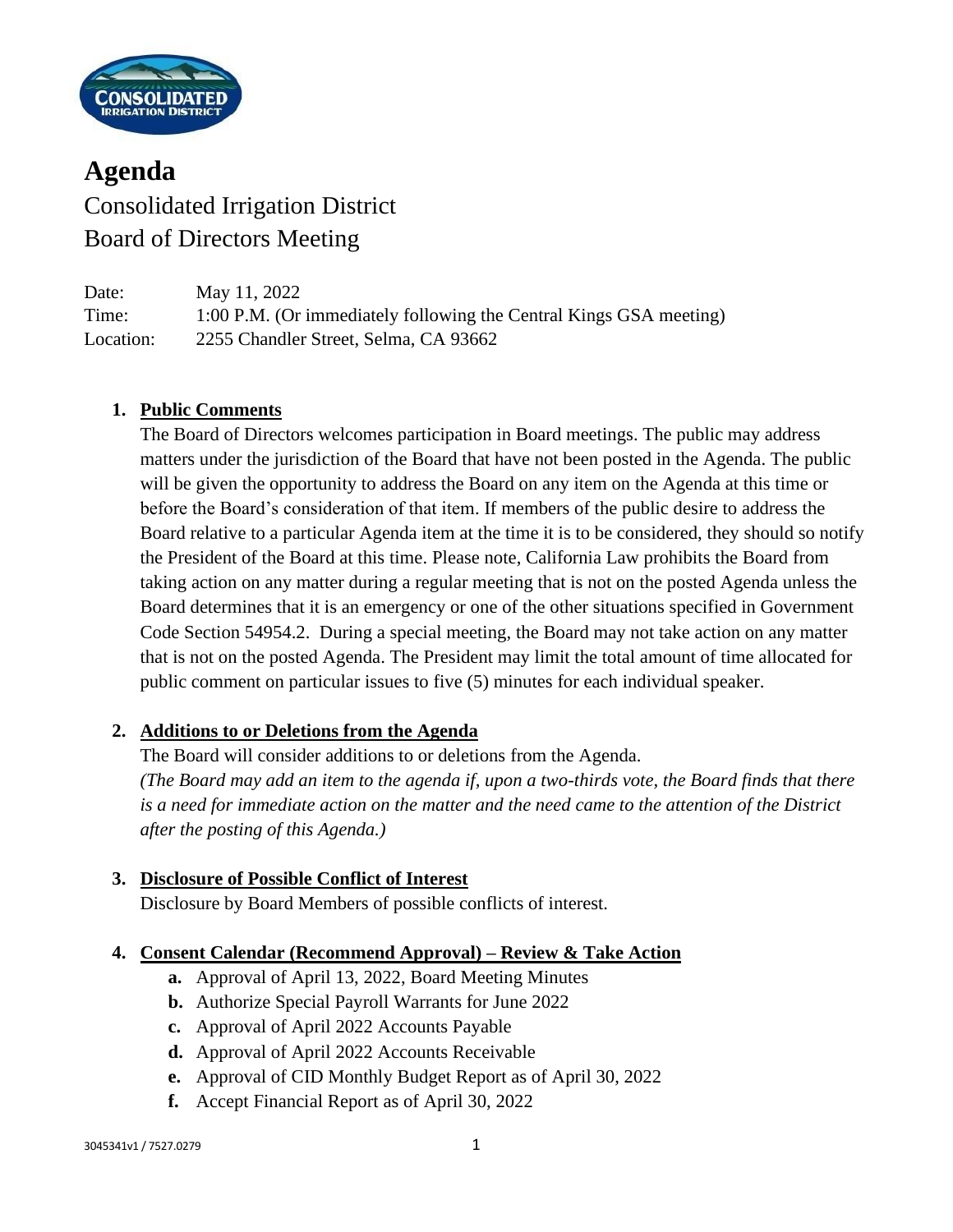

# **Agenda** Consolidated Irrigation District Board of Directors Meeting

Date: May 11, 2022 Time: 1:00 P.M. (Or immediately following the Central Kings GSA meeting) Location: 2255 Chandler Street, Selma, CA 93662

### **1. Public Comments**

The Board of Directors welcomes participation in Board meetings. The public may address matters under the jurisdiction of the Board that have not been posted in the Agenda. The public will be given the opportunity to address the Board on any item on the Agenda at this time or before the Board's consideration of that item. If members of the public desire to address the Board relative to a particular Agenda item at the time it is to be considered, they should so notify the President of the Board at this time. Please note, California Law prohibits the Board from taking action on any matter during a regular meeting that is not on the posted Agenda unless the Board determines that it is an emergency or one of the other situations specified in Government Code Section 54954.2. During a special meeting, the Board may not take action on any matter that is not on the posted Agenda. The President may limit the total amount of time allocated for public comment on particular issues to five (5) minutes for each individual speaker.

#### **2. Additions to or Deletions from the Agenda**

The Board will consider additions to or deletions from the Agenda. *(The Board may add an item to the agenda if, upon a two-thirds vote, the Board finds that there is a need for immediate action on the matter and the need came to the attention of the District after the posting of this Agenda.)*

#### **3. Disclosure of Possible Conflict of Interest**

Disclosure by Board Members of possible conflicts of interest.

#### **4. Consent Calendar (Recommend Approval) – Review & Take Action**

- **a.** Approval of April 13, 2022, Board Meeting Minutes
- **b.** Authorize Special Payroll Warrants for June 2022
- **c.** Approval of April 2022 Accounts Payable
- **d.** Approval of April 2022 Accounts Receivable
- **e.** Approval of CID Monthly Budget Report as of April 30, 2022
- **f.** Accept Financial Report as of April 30, 2022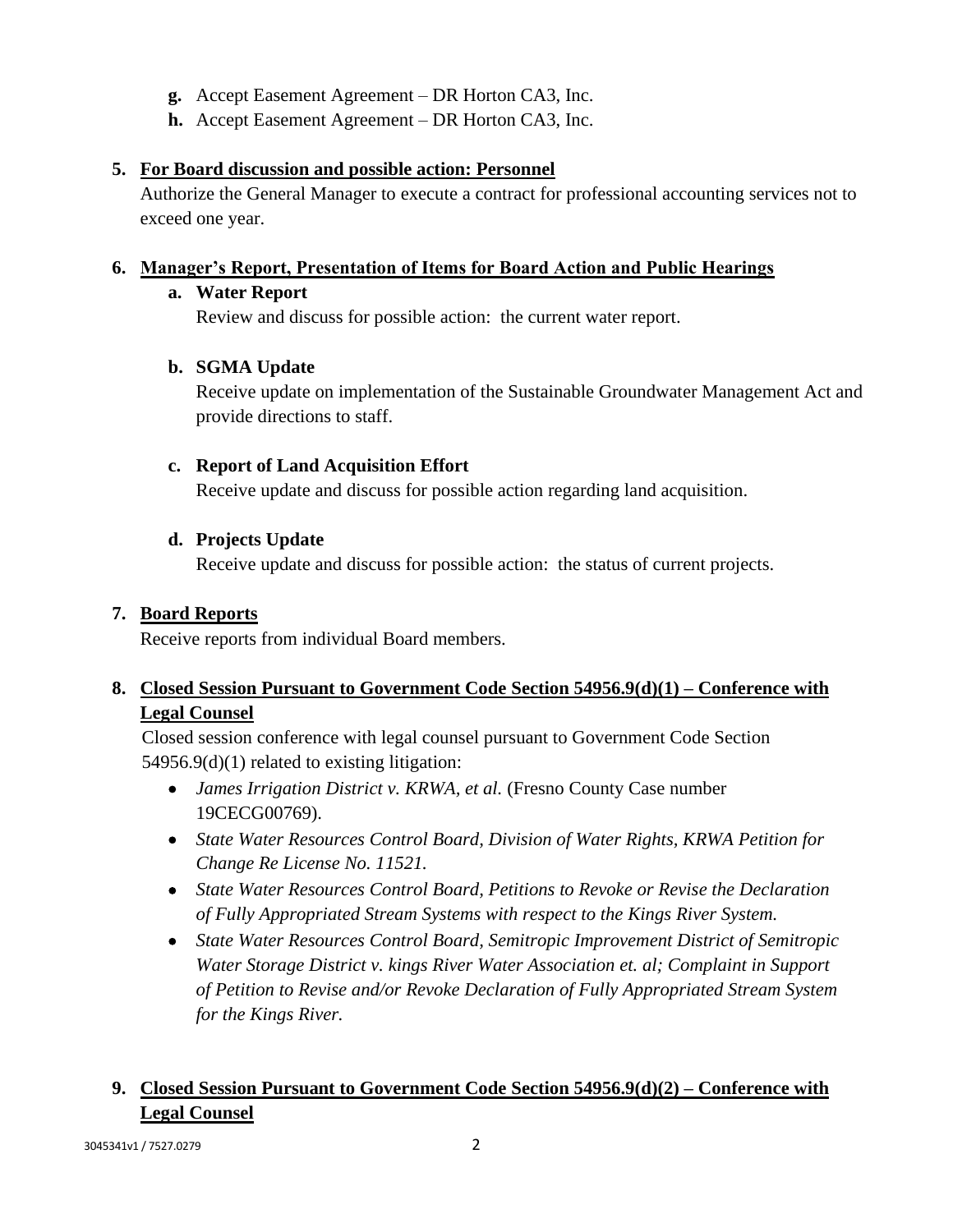- **g.** Accept Easement Agreement DR Horton CA3, Inc.
- **h.** Accept Easement Agreement DR Horton CA3, Inc.

#### **5. For Board discussion and possible action: Personnel**

Authorize the General Manager to execute a contract for professional accounting services not to exceed one year.

#### **6. Manager's Report, Presentation of Items for Board Action and Public Hearings**

#### **a. Water Report**

Review and discuss for possible action: the current water report.

### **b. SGMA Update**

Receive update on implementation of the Sustainable Groundwater Management Act and provide directions to staff.

### **c. Report of Land Acquisition Effort**

Receive update and discuss for possible action regarding land acquisition.

### **d. Projects Update**

Receive update and discuss for possible action: the status of current projects.

# **7. Board Reports**

Receive reports from individual Board members.

# **8. Closed Session Pursuant to Government Code Section 54956.9(d)(1) – Conference with Legal Counsel**

Closed session conference with legal counsel pursuant to Government Code Section 54956.9(d)(1) related to existing litigation:

- *James Irrigation District v. KRWA, et al.* (Fresno County Case number 19CECG00769).
- *State Water Resources Control Board, Division of Water Rights, KRWA Petition for Change Re License No. 11521.*
- *State Water Resources Control Board, Petitions to Revoke or Revise the Declaration of Fully Appropriated Stream Systems with respect to the Kings River System.*
- *State Water Resources Control Board, Semitropic Improvement District of Semitropic Water Storage District v. kings River Water Association et. al; Complaint in Support of Petition to Revise and/or Revoke Declaration of Fully Appropriated Stream System for the Kings River.*

# **9. Closed Session Pursuant to Government Code Section 54956.9(d)(2) – Conference with Legal Counsel**